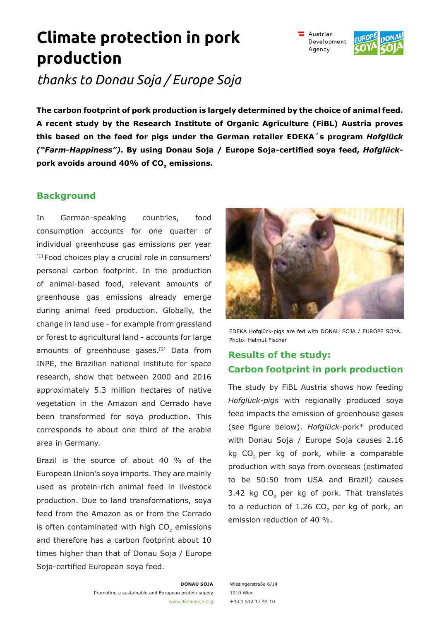#### **DONAU SOJA**

Promoting a sustainable and European protein supply www.donausoja.org Wiesingerstraße 6/14 1010 Wien +43 1 512 17 44 10

**Climate protection in pork production** 

*thanks to Donau Soja / Europe Soja*

**The carbon footprint of pork production is largely determined by the choice of animal feed. A recent study by the Research Institute of Organic Agriculture (FiBL) Austria proves this based on the feed for pigs under the German retailer EDEKA´s program** *Hofglück ("Farm-Happiness")***. By using Donau Soja / Europe Soja-certified soya feed,** *Hofglück***pork avoids around 40% of CO<sup>2</sup> emissions.**

## **Background**

In German-speaking countries, food consumption accounts for one quarter of individual greenhouse gas emissions per year. [1] Food choices play a crucial role in consumers' personal carbon footprint. In the production of animal-based food, relevant amounts of greenhouse gas emissions already emerge during animal feed production. Globally, the change in land use - for example from grassland or forest to agricultural land - accounts for large amounts of greenhouse gases.[2] Data from INPE, the Brazilian national institute for space research, show that between 2000 and 2016 approximately 5.3 million hectares of native vegetation in the Amazon and Cerrado have been transformed for soya production. This corresponds to about one third of the arable area in Germany.

Brazil is the source of about 40 % of the European Union's soya imports. They are mainly used as protein-rich animal feed in livestock production. Due to land transformations, soya feed from the Amazon as or from the Cerrado is often contaminated with high  $\mathsf{CO}_2$  emissions and therefore has a carbon footprint about 10 times higher than that of Donau Soja / Europe Soja-certified European soya feed.

EDEKA Hofglück-pigs are fed with DONAU SOJA / EUROPE SOYA. Photo: Helmut Fischer

# **Results of the study: Carbon footprint in pork production**

The study by FiBL Austria shows how feeding *Hofglück-pigs* with regionally produced soya feed impacts the emission of greenhouse gases (see figure below). *Hofglück*-pork\* produced with Donau Soja / Europe Soja causes 2.16 kg CO<sub>2</sub> per kg of pork, while a comparable production with soya from overseas (estimated to be 50:50 from USA and Brazil) causes 3.42 kg  $CO<sub>2</sub>$  per kg of pork. That translates to a reduction of 1.26 CO<sub>2</sub> per kg of pork, an emission reduction of 40 %.



 $\equiv$  Austrian Development Agency

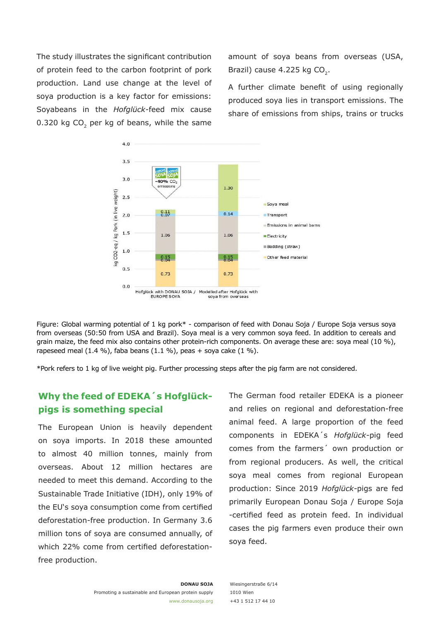The study illustrates the significant contribution of protein feed to the carbon footprint of pork production. Land use change at the level of soya production is a key factor for emissions: Soyabeans in the *Hofglück-*feed mix cause 0.320 kg CO<sub>2</sub> per kg of beans, while the same amount of soya beans from overseas (USA, Brazil) cause 4.225 kg CO<sub>2</sub>.

A further climate benefit of using regionally produced soya lies in transport emissions. The share of emissions from ships, trains or trucks



Figure: Global warming potential of 1 kg pork\* - comparison of feed with Donau Soja / Europe Soja versus soya from overseas (50:50 from USA and Brazil). Soya meal is a very common soya feed. In addition to cereals and grain maize, the feed mix also contains other protein-rich components. On average these are: soya meal (10 %), rapeseed meal  $(1.4\%)$ , faba beans  $(1.1\%)$ , peas + soya cake  $(1\%)$ .

\*Pork refers to 1 kg of live weight pig. Further processing steps after the pig farm are not considered.

## **Why the feed of EDEKA´s Hofglückpigs is something special**

The European Union is heavily dependent on soya imports. In 2018 these amounted to almost 40 million tonnes, mainly from overseas. About 12 million hectares are needed to meet this demand. According to the Sustainable Trade Initiative (IDH), only 19% of the EU's soya consumption come from certified deforestation-free production. In Germany 3.6 million tons of soya are consumed annually, of which 22% come from certified deforestationfree production.

The German food retailer EDEKA is a pioneer and relies on regional and deforestation-free animal feed. A large proportion of the feed components in EDEKA´s *Hofglück-*pig feed comes from the farmers´ own production or from regional producers. As well, the critical soya meal comes from regional European production: Since 2019 *Hofglück-*pigs are fed primarily European Donau Soja / Europe Soja -certified feed as protein feed. In individual cases the pig farmers even produce their own soya feed.

Wiesingerstraße 6/14 1010 Wien +43 1 512 17 44 10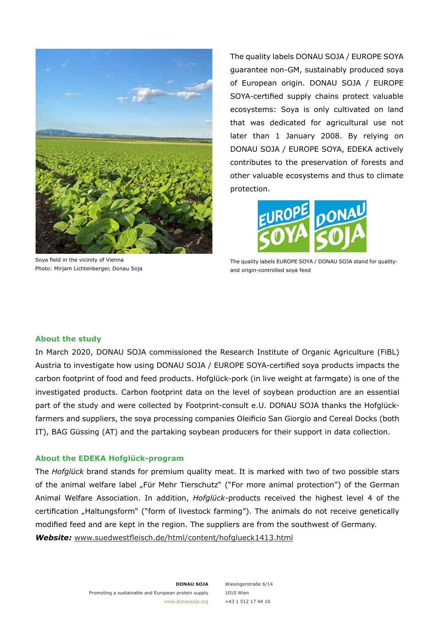

Soya field in the vicinity of Vienna Photo: Mirjam Lichtenberger, Donau Soja

The quality labels DONAU SOJA / EUROPE SOYA guarantee non-GM, sustainably produced soya of European origin. DONAU SOJA / EUROPE SOYA-certified supply chains protect valuable ecosystems: Soya is only cultivated on land that was dedicated for agricultural use not later than 1 January 2008. By relying on DONAU SOJA / EUROPE SOYA, EDEKA actively contributes to the preservation of forests and other valuable ecosystems and thus to climate protection.



The quality labels EUROPE SOYA / DONAU SOJA stand for qualityand origin-controlled soya feed

### **About the study**

In March 2020, DONAU SOJA commissioned the Research Institute of Organic Agriculture (FiBL) Austria to investigate how using DONAU SOJA / EUROPE SOYA-certified soya products impacts the carbon footprint of food and feed products. Hofglück-pork (in live weight at farmgate) is one of the investigated products. Carbon footprint data on the level of soybean production are an essential part of the study and were collected by Footprint-consult e.U. DONAU SOJA thanks the Hofglückfarmers and suppliers, the soya processing companies Oleificio San Giorgio and Cereal Docks (both IT), BAG Güssing (AT) and the partaking soybean producers for their support in data collection.

### **About the EDEKA Hofglück-program**

The *Hofglück* brand stands for premium quality meat. It is marked with two of two possible stars of the animal welfare label "Für Mehr Tierschutz" ("For more animal protection") of the German Animal Welfare Association. In addition, *Hofglück*-products received the highest level 4 of the certification "Haltungsform" ("form of livestock farming"). The animals do not receive genetically modified feed and are kept in the region. The suppliers are from the southwest of Germany. *Website:* www.suedwestfleisch.de/html/content/hofglueck1413.html

Wiesingerstraße 6/14 1010 Wien +43 1 512 17 44 10